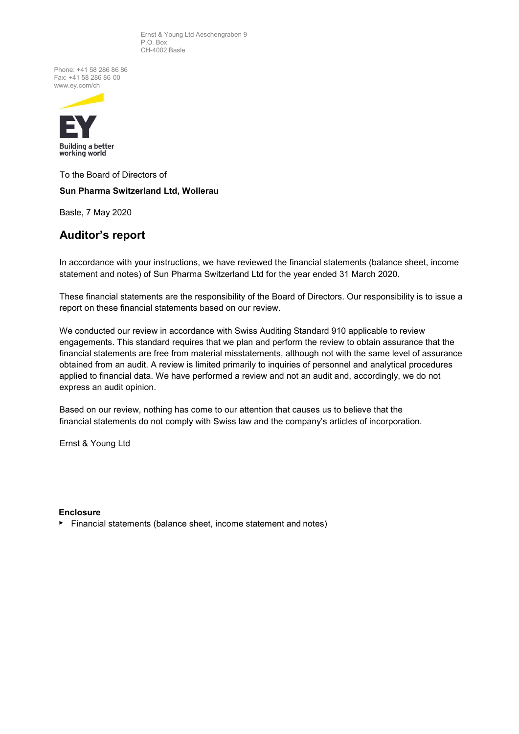Ernst & Young Ltd Aeschengraben 9 P.O. Box CH-4002 Basle

Phone: +41 58 286 86 86 Fax: +41 58 286 86 00 [www.ey.com/ch](http://www.ey.com/ch)



To the Board of Directors of

## **Sun Pharma Switzerland Ltd, Wollerau**

Basle, 7 May 2020

## **Auditor's report**

In accordance with your instructions, we have reviewed the financial statements (balance sheet, income statement and notes) of Sun Pharma Switzerland Ltd for the year ended 31 March 2020.

These financial statements are the responsibility of the Board of Directors. Our responsibility is to issue a report on these financial statements based on our review.

We conducted our review in accordance with Swiss Auditing Standard 910 applicable to review engagements. This standard requires that we plan and perform the review to obtain assurance that the financial statements are free from material misstatements, although not with the same level of assurance obtained from an audit. A review is limited primarily to inquiries of personnel and analytical procedures applied to financial data. We have performed a review and not an audit and, accordingly, we do not express an audit opinion.

Based on our review, nothing has come to our attention that causes us to believe that the financial statements do not comply with Swiss law and the company's articles of incorporation.

Ernst & Young Ltd

### **Enclosure**

► Financial statements (balance sheet, income statement and notes)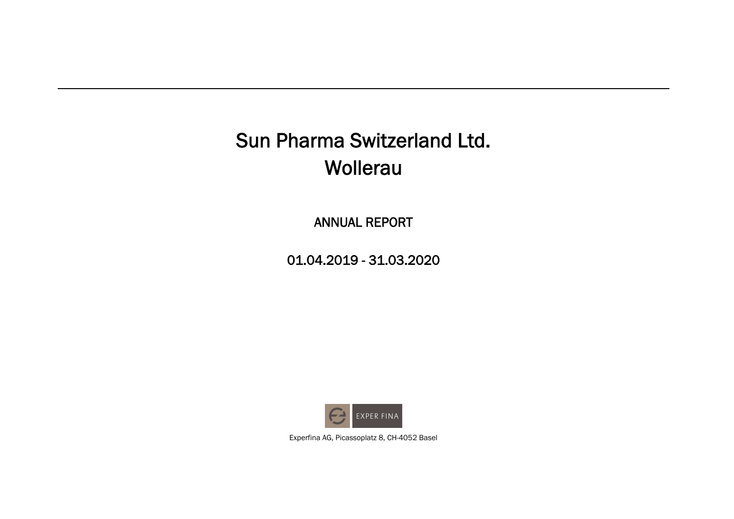ANNUAL REPORT

01.04.2019 - 31.03.2020



Experfina AG, Picassoplatz 8, CH-4052 Basel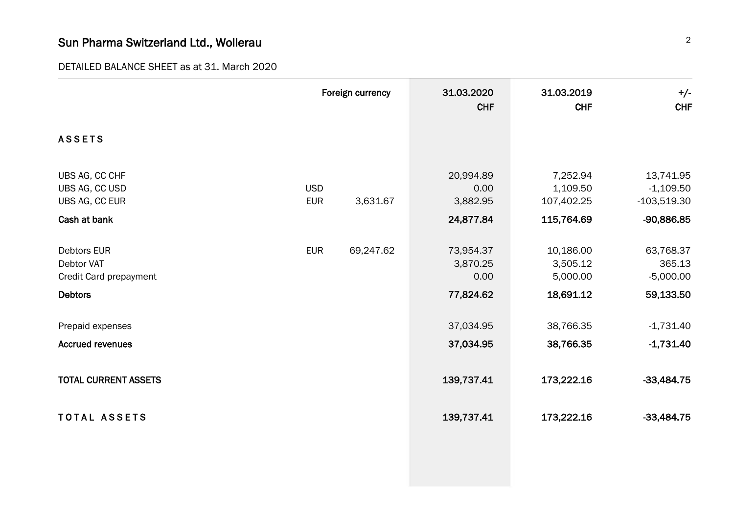DETAILED BALANCE SHEET as at 31. March 2020

|                                                                    |                          | Foreign currency | 31.03.2020<br><b>CHF</b>                   | 31.03.2019<br><b>CHF</b>                         | $+/-$<br><b>CHF</b>                                     |
|--------------------------------------------------------------------|--------------------------|------------------|--------------------------------------------|--------------------------------------------------|---------------------------------------------------------|
| <b>ASSETS</b>                                                      |                          |                  |                                            |                                                  |                                                         |
| UBS AG, CC CHF<br>UBS AG, CC USD<br>UBS AG, CC EUR<br>Cash at bank | <b>USD</b><br><b>EUR</b> | 3,631.67         | 20,994.89<br>0.00<br>3,882.95<br>24,877.84 | 7,252.94<br>1,109.50<br>107,402.25<br>115,764.69 | 13,741.95<br>$-1,109.50$<br>$-103,519.30$<br>-90,886.85 |
|                                                                    |                          |                  |                                            |                                                  |                                                         |
| <b>Debtors EUR</b><br><b>Debtor VAT</b><br>Credit Card prepayment  | <b>EUR</b>               | 69,247.62        | 73,954.37<br>3,870.25<br>0.00              | 10,186.00<br>3,505.12<br>5,000.00                | 63,768.37<br>365.13<br>$-5,000.00$                      |
| <b>Debtors</b>                                                     |                          |                  | 77,824.62                                  | 18,691.12                                        | 59,133.50                                               |
| Prepaid expenses                                                   |                          |                  | 37,034.95                                  | 38,766.35                                        | $-1,731.40$                                             |
| <b>Accrued revenues</b>                                            |                          |                  | 37,034.95                                  | 38,766.35                                        | $-1,731.40$                                             |
| <b>TOTAL CURRENT ASSETS</b>                                        |                          |                  | 139,737.41                                 | 173,222.16                                       | $-33,484.75$                                            |
| <b>TOTAL ASSETS</b>                                                |                          |                  | 139,737.41                                 | 173,222.16                                       | $-33,484.75$                                            |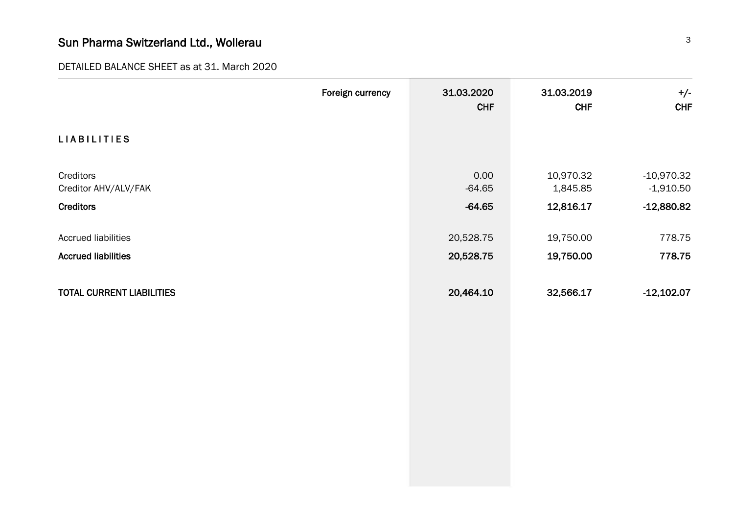## DETAILED BALANCE SHEET as at 31. March 2020

|                                                          | Foreign currency | 31.03.2020<br><b>CHF</b> | 31.03.2019<br><b>CHF</b> | $+/-$<br><b>CHF</b>         |
|----------------------------------------------------------|------------------|--------------------------|--------------------------|-----------------------------|
| <b>LIABILITIES</b>                                       |                  |                          |                          |                             |
| Creditors<br>Creditor AHV/ALV/FAK                        |                  | 0.00<br>$-64.65$         | 10,970.32<br>1,845.85    | $-10,970.32$<br>$-1,910.50$ |
| <b>Creditors</b>                                         |                  | $-64.65$                 | 12,816.17                | $-12,880.82$                |
| <b>Accrued liabilities</b><br><b>Accrued liabilities</b> |                  | 20,528.75<br>20,528.75   | 19,750.00<br>19,750.00   | 778.75<br>778.75            |
| <b>TOTAL CURRENT LIABILITIES</b>                         |                  | 20,464.10                | 32,566.17                | $-12,102.07$                |
|                                                          |                  |                          |                          |                             |
|                                                          |                  |                          |                          |                             |
|                                                          |                  |                          |                          |                             |
|                                                          |                  |                          |                          |                             |
|                                                          |                  |                          |                          |                             |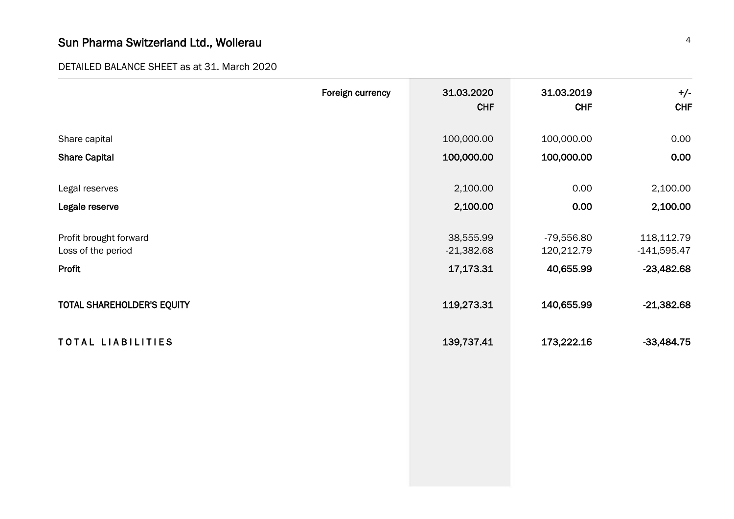DETAILED BALANCE SHEET as at 31. March 2020

|                                   | Foreign currency | 31.03.2020<br><b>CHF</b> | 31.03.2019<br><b>CHF</b> | $+/-$<br><b>CHF</b> |
|-----------------------------------|------------------|--------------------------|--------------------------|---------------------|
|                                   |                  |                          |                          |                     |
| Share capital                     |                  | 100,000.00               | 100,000.00               | 0.00                |
| <b>Share Capital</b>              |                  | 100,000.00               | 100,000.00               | 0.00                |
|                                   |                  |                          |                          |                     |
| Legal reserves                    |                  | 2,100.00                 | 0.00                     | 2,100.00            |
| Legale reserve                    |                  | 2,100.00                 | 0.00                     | 2,100.00            |
| Profit brought forward            |                  | 38,555.99                | $-79,556.80$             | 118,112.79          |
| Loss of the period                |                  | $-21,382.68$             | 120,212.79               | $-141,595.47$       |
| Profit                            |                  | 17,173.31                | 40,655.99                | $-23,482.68$        |
|                                   |                  |                          |                          |                     |
| <b>TOTAL SHAREHOLDER'S EQUITY</b> |                  | 119,273.31               | 140,655.99               | $-21,382.68$        |
|                                   |                  |                          |                          |                     |
| TOTAL LIABILITIES                 |                  | 139,737.41               | 173,222.16               | $-33,484.75$        |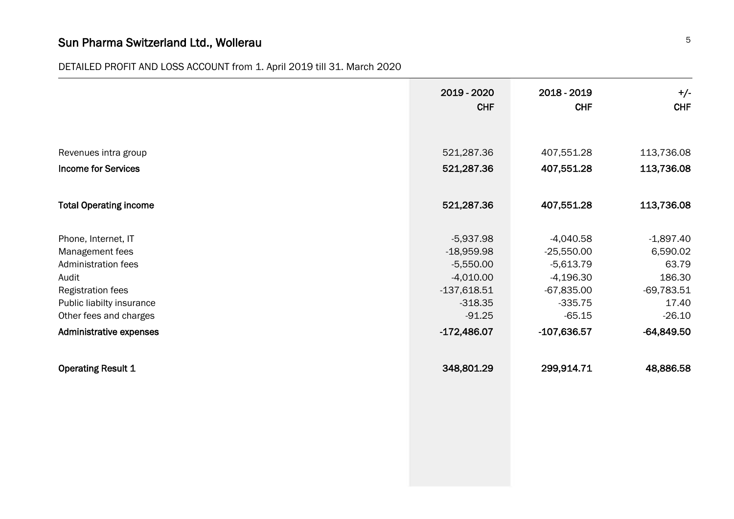## DETAILED PROFIT AND LOSS ACCOUNT from 1. April 2019 till 31. March 2020

|                                | 2019 - 2020<br><b>CHF</b> | 2018 - 2019<br><b>CHF</b> | $+/-$<br><b>CHF</b> |
|--------------------------------|---------------------------|---------------------------|---------------------|
|                                |                           |                           |                     |
| Revenues intra group           | 521,287.36                | 407,551.28                | 113,736.08          |
|                                |                           |                           |                     |
| <b>Income for Services</b>     | 521,287.36                | 407,551.28                | 113,736.08          |
| <b>Total Operating income</b>  | 521,287.36                | 407,551.28                | 113,736.08          |
| Phone, Internet, IT            | $-5,937.98$               | $-4,040.58$               | $-1,897.40$         |
| Management fees                | $-18,959.98$              | $-25,550.00$              | 6,590.02            |
| <b>Administration fees</b>     | $-5,550.00$               | $-5,613.79$               | 63.79               |
| Audit                          | $-4,010.00$               | $-4,196.30$               | 186.30              |
| Registration fees              | $-137,618.51$             | $-67,835.00$              | $-69,783.51$        |
| Public liabilty insurance      | $-318.35$                 | $-335.75$                 | 17.40               |
| Other fees and charges         | $-91.25$                  | $-65.15$                  | $-26.10$            |
| <b>Administrative expenses</b> | $-172,486.07$             | $-107,636.57$             | $-64,849.50$        |
| <b>Operating Result 1</b>      | 348,801.29                | 299,914.71                | 48,886.58           |
|                                |                           |                           |                     |
|                                |                           |                           |                     |
|                                |                           |                           |                     |
|                                |                           |                           |                     |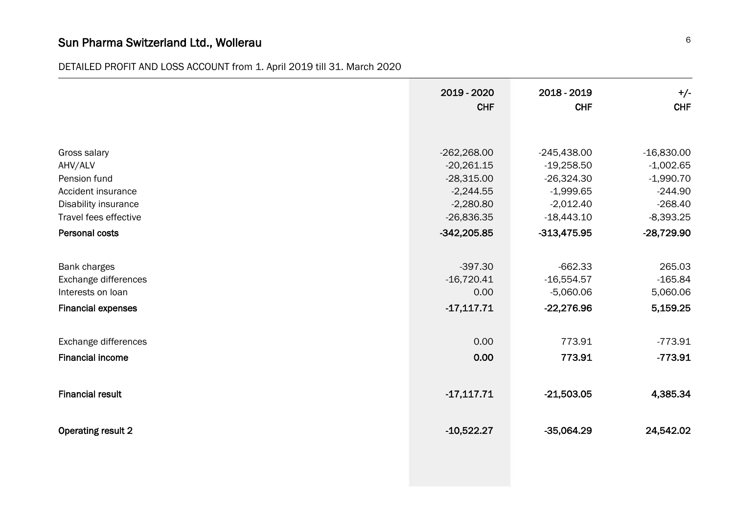DETAILED PROFIT AND LOSS ACCOUNT from 1. April 2019 till 31. March 2020

|                           | 2019 - 2020   | 2018 - 2019   | $+/-$        |
|---------------------------|---------------|---------------|--------------|
|                           | <b>CHF</b>    | <b>CHF</b>    | <b>CHF</b>   |
| Gross salary              | $-262,268.00$ | $-245,438.00$ | $-16,830.00$ |
| AHV/ALV                   | $-20,261.15$  | $-19,258.50$  | $-1,002.65$  |
| Pension fund              | $-28,315.00$  | $-26,324.30$  | $-1,990.70$  |
| Accident insurance        | $-2,244.55$   | $-1,999.65$   | $-244.90$    |
| Disability insurance      | $-2,280.80$   | $-2,012.40$   | $-268.40$    |
| Travel fees effective     | $-26,836.35$  | $-18,443.10$  | $-8,393.25$  |
| Personal costs            | $-342,205.85$ | $-313,475.95$ | $-28,729.90$ |
| Bank charges              | $-397.30$     | $-662.33$     | 265.03       |
| Exchange differences      | $-16,720.41$  | $-16,554.57$  | $-165.84$    |
| Interests on loan         | 0.00          | $-5,060.06$   | 5,060.06     |
| <b>Financial expenses</b> | $-17,117.71$  | $-22,276.96$  | 5,159.25     |
| Exchange differences      | 0.00          | 773.91        | $-773.91$    |
| <b>Financial income</b>   | 0.00          | 773.91        | $-773.91$    |
| <b>Financial result</b>   | $-17,117.71$  | $-21,503.05$  | 4,385.34     |
| <b>Operating result 2</b> | $-10,522.27$  | $-35,064.29$  | 24,542.02    |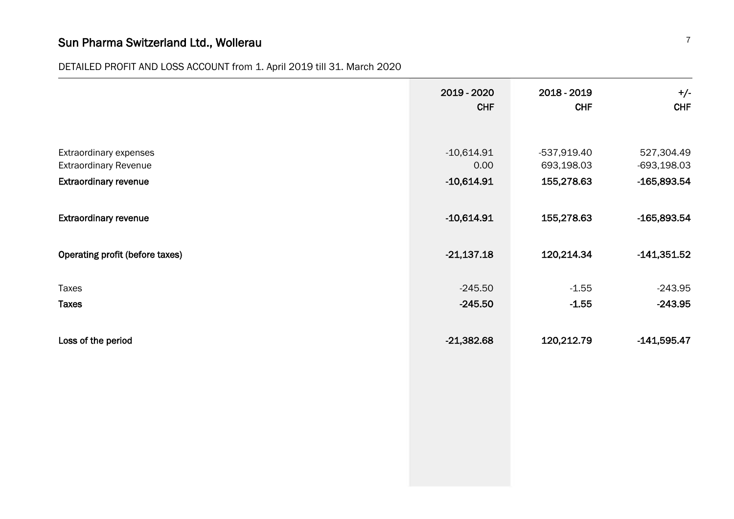## DETAILED PROFIT AND LOSS ACCOUNT from 1. April 2019 till 31. March 2020

|                                                                                        | 2019 - 2020<br><b>CHF</b>            | 2018 - 2019<br><b>CHF</b>                 | $+/-$<br><b>CHF</b>                          |
|----------------------------------------------------------------------------------------|--------------------------------------|-------------------------------------------|----------------------------------------------|
| Extraordinary expenses<br><b>Extraordinary Revenue</b><br><b>Extraordinary revenue</b> | $-10,614.91$<br>0.00<br>$-10,614.91$ | $-537,919.40$<br>693,198.03<br>155,278.63 | 527,304.49<br>$-693,198.03$<br>$-165,893.54$ |
| <b>Extraordinary revenue</b>                                                           | $-10,614.91$                         | 155,278.63                                | $-165,893.54$                                |
| Operating profit (before taxes)                                                        | $-21,137.18$                         | 120,214.34                                | $-141,351.52$                                |
| Taxes<br><b>Taxes</b>                                                                  | $-245.50$<br>$-245.50$               | $-1.55$<br>$-1.55$                        | $-243.95$<br>$-243.95$                       |
| Loss of the period                                                                     | $-21,382.68$                         | 120,212.79                                | $-141,595.47$                                |
|                                                                                        |                                      |                                           |                                              |
|                                                                                        |                                      |                                           |                                              |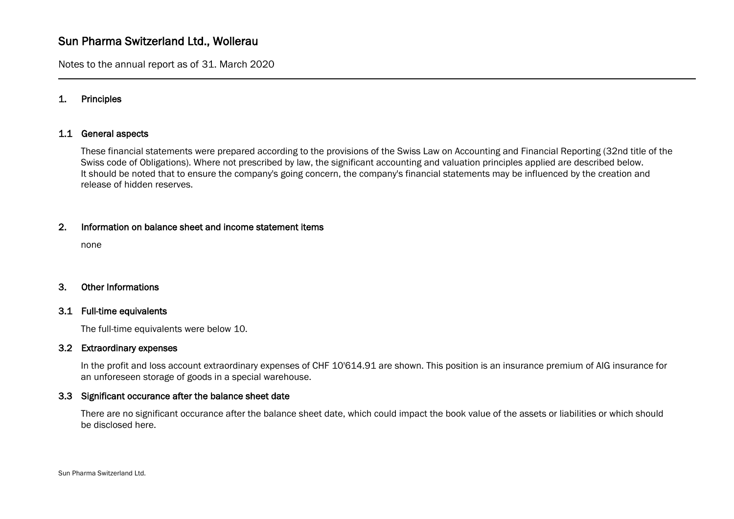Notes to the annual report as of 31. March 2020

## 1. Principles

## 1.1 General aspects

These financial statements were prepared according to the provisions of the Swiss Law on Accounting and Financial Reporting (32nd title of the Swiss code of Obligations). Where not prescribed by law, the significant accounting and valuation principles applied are described below. It should be noted that to ensure the company's going concern, the company's financial statements may be influenced by the creation and release of hidden reserves.

## 2. Information on balance sheet and income statement items

none

### 3. Other Informations

#### 3.1 Full-time equivalents

The full-time equivalents were below 10.

#### 3.2 Extraordinary expenses

In the profit and loss account extraordinary expenses of CHF 10'614.91 are shown. This position is an insurance premium of AIG insurance for an unforeseen storage of goods in a special warehouse.

#### 3.3 Significant occurance after the balance sheet date

There are no significant occurance after the balance sheet date, which could impact the book value of the assets or liabilities or which should be disclosed here.